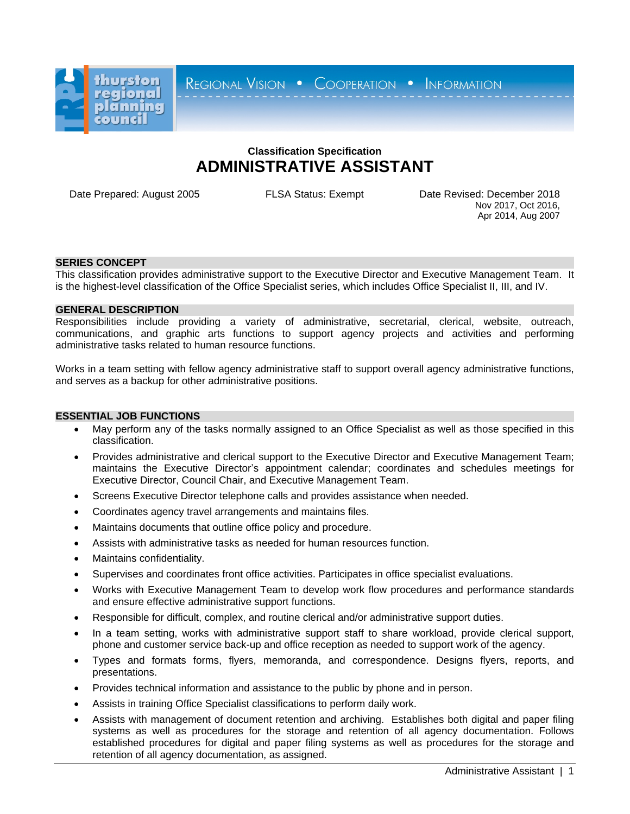

REGIONAL VISION . COOPERATION . INFORMATION

# **Classification Specification ADMINISTRATIVE ASSISTANT**

Date Prepared: August 2005 FLSA Status: Exempt Date Revised: December 2018 Nov 2017, Oct 2016, Apr 2014, Aug 2007

## **SERIES CONCEPT**

This classification provides administrative support to the Executive Director and Executive Management Team. It is the highest-level classification of the Office Specialist series, which includes Office Specialist II, III, and IV.

#### **GENERAL DESCRIPTION**

Responsibilities include providing a variety of administrative, secretarial, clerical, website, outreach, communications, and graphic arts functions to support agency projects and activities and performing administrative tasks related to human resource functions.

Works in a team setting with fellow agency administrative staff to support overall agency administrative functions, and serves as a backup for other administrative positions.

#### **ESSENTIAL JOB FUNCTIONS**

- May perform any of the tasks normally assigned to an Office Specialist as well as those specified in this classification.
- Provides administrative and clerical support to the Executive Director and Executive Management Team; maintains the Executive Director's appointment calendar; coordinates and schedules meetings for Executive Director, Council Chair, and Executive Management Team.
- Screens Executive Director telephone calls and provides assistance when needed.
- Coordinates agency travel arrangements and maintains files.
- Maintains documents that outline office policy and procedure.
- Assists with administrative tasks as needed for human resources function.
- Maintains confidentiality.
- Supervises and coordinates front office activities. Participates in office specialist evaluations.
- Works with Executive Management Team to develop work flow procedures and performance standards and ensure effective administrative support functions.
- Responsible for difficult, complex, and routine clerical and/or administrative support duties.
- In a team setting, works with administrative support staff to share workload, provide clerical support, phone and customer service back-up and office reception as needed to support work of the agency.
- Types and formats forms, flyers, memoranda, and correspondence. Designs flyers, reports, and presentations.
- Provides technical information and assistance to the public by phone and in person.
- Assists in training Office Specialist classifications to perform daily work.
- Assists with management of document retention and archiving. Establishes both digital and paper filing systems as well as procedures for the storage and retention of all agency documentation. Follows established procedures for digital and paper filing systems as well as procedures for the storage and retention of all agency documentation, as assigned.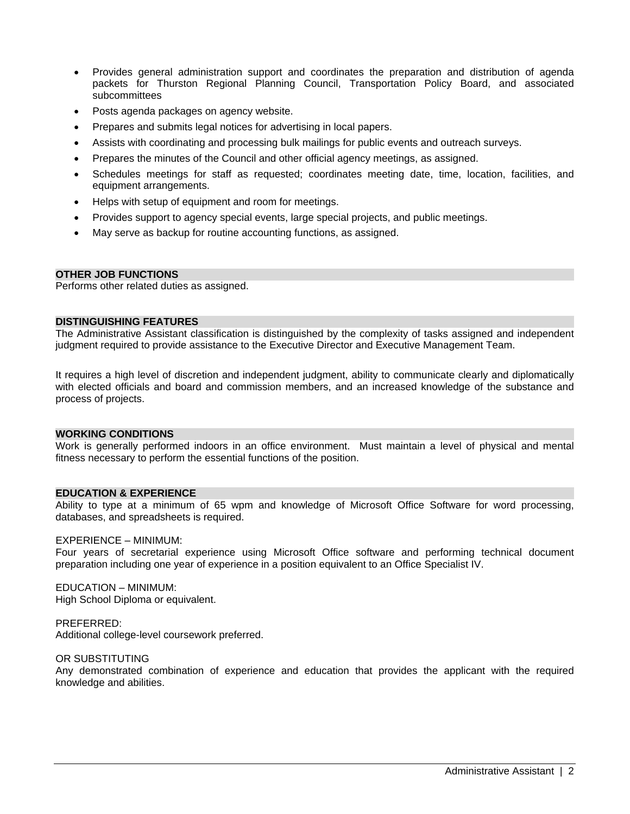- Provides general administration support and coordinates the preparation and distribution of agenda packets for Thurston Regional Planning Council, Transportation Policy Board, and associated subcommittees
- Posts agenda packages on agency website.
- Prepares and submits legal notices for advertising in local papers.
- Assists with coordinating and processing bulk mailings for public events and outreach surveys.
- Prepares the minutes of the Council and other official agency meetings, as assigned.
- Schedules meetings for staff as requested; coordinates meeting date, time, location, facilities, and equipment arrangements.
- Helps with setup of equipment and room for meetings.
- Provides support to agency special events, large special projects, and public meetings.
- May serve as backup for routine accounting functions, as assigned.

## **OTHER JOB FUNCTIONS**

Performs other related duties as assigned.

#### **DISTINGUISHING FEATURES**

The Administrative Assistant classification is distinguished by the complexity of tasks assigned and independent judgment required to provide assistance to the Executive Director and Executive Management Team.

It requires a high level of discretion and independent judgment, ability to communicate clearly and diplomatically with elected officials and board and commission members, and an increased knowledge of the substance and process of projects.

#### **WORKING CONDITIONS**

Work is generally performed indoors in an office environment. Must maintain a level of physical and mental fitness necessary to perform the essential functions of the position.

#### **EDUCATION & EXPERIENCE**

Ability to type at a minimum of 65 wpm and knowledge of Microsoft Office Software for word processing, databases, and spreadsheets is required.

#### EXPERIENCE – MINIMUM:

Four years of secretarial experience using Microsoft Office software and performing technical document preparation including one year of experience in a position equivalent to an Office Specialist IV.

EDUCATION – MINIMUM: High School Diploma or equivalent.

PREFERRED: Additional college-level coursework preferred.

OR SUBSTITUTING

Any demonstrated combination of experience and education that provides the applicant with the required knowledge and abilities.